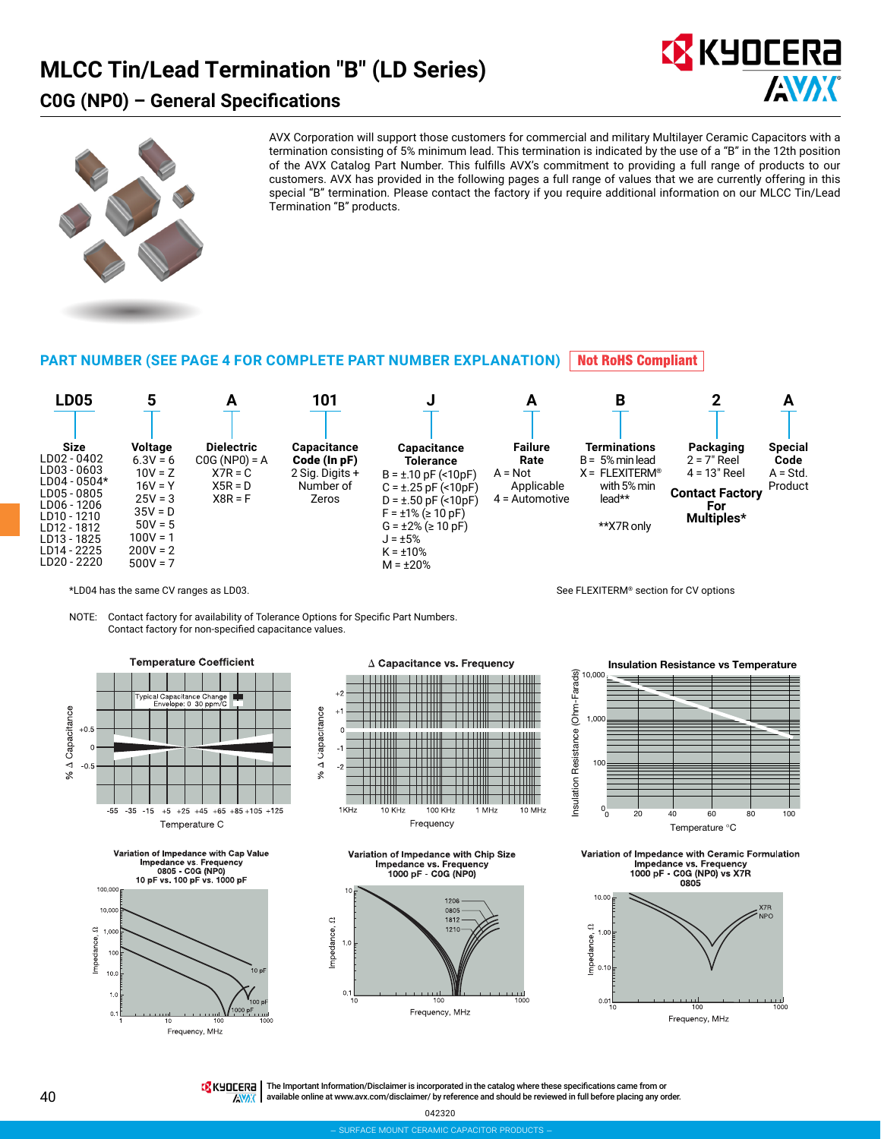## **MLCC Tin/Lead Termination "B" (LD Series)**

### **C0G (NP0) – General Specifications**





AVX Corporation will support those customers for commercial and military Multilayer Ceramic Capacitors with a termination consisting of 5% minimum lead. This termination is indicated by the use of a "B" in the 12th position of the AVX Catalog Part Number. This fulfills AVX's commitment to providing a full range of products to our customers. AVX has provided in the following pages a full range of values that we are currently offering in this special "B" termination. Please contact the factory if you require additional information on our MLCC Tin/Lead Termination "B" products.

#### **PART NUMBER (SEE PAGE 4 FOR COMPLETE PART NUMBER EXPLANATION) Not RoHS Compliant**



\*LD04 has the same CV ranges as LD03.

NOTE: Contact factory for availability of Tolerance Options for Specific Part Numbers. Contact factory for non-specified capacitance values.











**Insulation Resistance vs Temperature**

See FLEXITERM® section for CV options



Variation of Impedance with Ceramic Formulation Impedance vs. Frequency<br>1000 pF - C0G (NP0) vs X7R 0805



TE KHOLERE | The Important Information/Disclaimer is incorporated in the catalog where these specifications came from or available online at [www.avx.com/disclaimer/](http://www.avx.com/disclaimer/) by reference and should be reviewed in full before placing any order. **ANAK** 

042320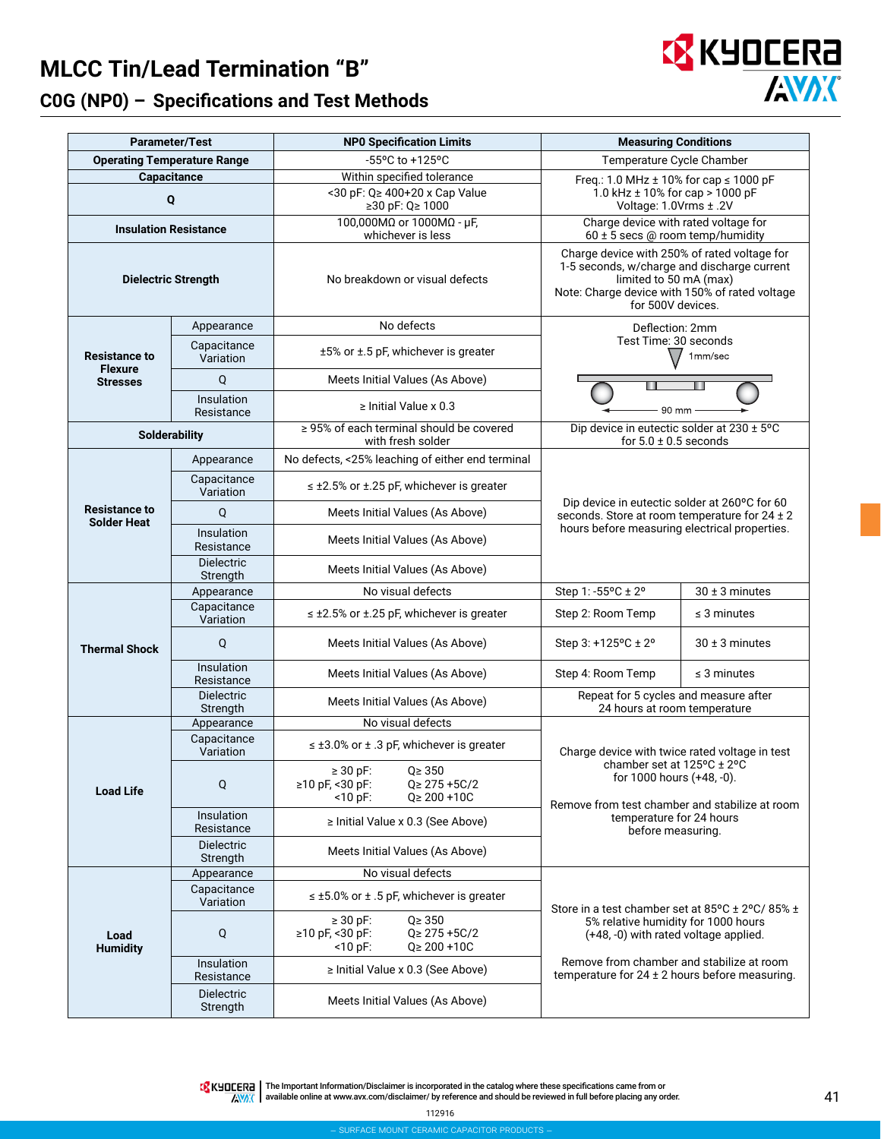# **MLCC Tin/Lead Termination "B" C0G (NP0) – Specifications and Test Methods**



|                                                     | <b>Parameter/Test</b>         | <b>NPO Specification Limits</b>                                                                            | <b>Measuring Conditions</b>                                                                                                                                                                  |                    |  |  |  |  |
|-----------------------------------------------------|-------------------------------|------------------------------------------------------------------------------------------------------------|----------------------------------------------------------------------------------------------------------------------------------------------------------------------------------------------|--------------------|--|--|--|--|
|                                                     |                               | -55°C to +125°C                                                                                            | Temperature Cycle Chamber                                                                                                                                                                    |                    |  |  |  |  |
| <b>Operating Temperature Range</b><br>Capacitance   |                               | Within specified tolerance                                                                                 | Freq.: 1.0 MHz $\pm$ 10% for cap $\leq$ 1000 pF                                                                                                                                              |                    |  |  |  |  |
|                                                     | Q                             | <30 pF: Q≥ 400+20 x Cap Value<br>≥30 pF: Q≥ 1000                                                           | 1.0 kHz ± 10% for cap > 1000 pF<br>Voltage: 1.0Vrms ± .2V                                                                                                                                    |                    |  |  |  |  |
|                                                     | <b>Insulation Resistance</b>  | 100,000MΩ or 1000MΩ - μF,<br>whichever is less                                                             | Charge device with rated voltage for<br>60 ± 5 secs @ room temp/humidity                                                                                                                     |                    |  |  |  |  |
|                                                     | <b>Dielectric Strength</b>    | No breakdown or visual defects                                                                             | Charge device with 250% of rated voltage for<br>1-5 seconds, w/charge and discharge current<br>limited to 50 mA (max)<br>Note: Charge device with 150% of rated voltage<br>for 500V devices. |                    |  |  |  |  |
| Appearance<br>Capacitance                           |                               | No defects                                                                                                 | Deflection: 2mm                                                                                                                                                                              |                    |  |  |  |  |
| <b>Resistance to</b><br>Variation<br><b>Flexure</b> |                               | $±5\%$ or $±.5$ pF, whichever is greater                                                                   | Test Time: 30 seconds<br>1mm/sec                                                                                                                                                             |                    |  |  |  |  |
| <b>Stresses</b>                                     | Q                             | Meets Initial Values (As Above)                                                                            |                                                                                                                                                                                              |                    |  |  |  |  |
|                                                     | Insulation<br>Resistance      | $\ge$ Initial Value x 0.3                                                                                  | 90 mm                                                                                                                                                                                        |                    |  |  |  |  |
|                                                     | Solderability                 | $\geq$ 95% of each terminal should be covered<br>with fresh solder                                         | Dip device in eutectic solder at 230 ± 5°C<br>for $5.0 \pm 0.5$ seconds                                                                                                                      |                    |  |  |  |  |
| Appearance                                          |                               | No defects, <25% leaching of either end terminal                                                           |                                                                                                                                                                                              |                    |  |  |  |  |
| <b>Resistance to</b><br><b>Solder Heat</b>          | Capacitance<br>Variation      | $\leq$ ±2.5% or ±.25 pF, whichever is greater                                                              | Dip device in eutectic solder at 260°C for 60<br>seconds. Store at room temperature for 24 ± 2                                                                                               |                    |  |  |  |  |
|                                                     | Q                             | Meets Initial Values (As Above)                                                                            |                                                                                                                                                                                              |                    |  |  |  |  |
|                                                     | Insulation<br>Resistance      | Meets Initial Values (As Above)                                                                            | hours before measuring electrical properties.                                                                                                                                                |                    |  |  |  |  |
|                                                     | <b>Dielectric</b><br>Strength | Meets Initial Values (As Above)                                                                            |                                                                                                                                                                                              |                    |  |  |  |  |
|                                                     | Appearance                    | $\overline{No}$ visual defects                                                                             | Step 1: -55°C ± 2°                                                                                                                                                                           | $30 \pm 3$ minutes |  |  |  |  |
|                                                     | Capacitance<br>Variation      | $\leq$ ±2.5% or ±.25 pF, whichever is greater                                                              | Step 2: Room Temp                                                                                                                                                                            | $\leq$ 3 minutes   |  |  |  |  |
| <b>Thermal Shock</b>                                | Q                             | Meets Initial Values (As Above)                                                                            | Step 3: +125°C ± 2°                                                                                                                                                                          | $30 \pm 3$ minutes |  |  |  |  |
|                                                     | Insulation<br>Resistance      | Meets Initial Values (As Above)                                                                            | Step 4: Room Temp                                                                                                                                                                            | $\leq$ 3 minutes   |  |  |  |  |
|                                                     | <b>Dielectric</b><br>Strength | Meets Initial Values (As Above)                                                                            | Repeat for 5 cycles and measure after<br>24 hours at room temperature                                                                                                                        |                    |  |  |  |  |
|                                                     | Appearance                    | No visual defects                                                                                          |                                                                                                                                                                                              |                    |  |  |  |  |
|                                                     | Capacitance<br>Variation      | $\leq$ ±3.0% or ± .3 pF, whichever is greater                                                              | Charge device with twice rated voltage in test<br>chamber set at 125°C ± 2°C<br>for 1000 hours (+48, -0).<br>Remove from test chamber and stabilize at room                                  |                    |  |  |  |  |
| <b>Load Life</b>                                    | Q                             | $\geq 30$ pF:<br>$Q \geq 350$<br>≥10 pF, <30 pF:<br>$Q \geq 275 + 5C/2$<br>$<$ 10 pF:<br>$Q \ge 200 + 10C$ |                                                                                                                                                                                              |                    |  |  |  |  |
|                                                     | Insulation<br>Resistance      | ≥ Initial Value x 0.3 (See Above)                                                                          | temperature for 24 hours<br>before measuring.                                                                                                                                                |                    |  |  |  |  |
|                                                     | <b>Dielectric</b><br>Strength | Meets Initial Values (As Above)                                                                            |                                                                                                                                                                                              |                    |  |  |  |  |
|                                                     | Appearance                    | No visual defects                                                                                          |                                                                                                                                                                                              |                    |  |  |  |  |
|                                                     | Capacitance<br>Variation      | $\leq \pm 5.0$ % or $\pm 0.5$ pF, whichever is greater                                                     | Store in a test chamber set at $85^{\circ}$ C ± 2°C/ 85% ±                                                                                                                                   |                    |  |  |  |  |
| Load<br><b>Humidity</b>                             | Q                             | $\geq 30$ pF:<br>$Q \geq 350$<br>≥10 pF, <30 pF:<br>$Q \geq 275 + 5C/2$<br>$<$ 10 pF:<br>$Q \ge 200 + 10C$ | 5% relative humidity for 1000 hours<br>(+48, -0) with rated voltage applied.                                                                                                                 |                    |  |  |  |  |
|                                                     | Insulation<br>Resistance      | $\ge$ Initial Value x 0.3 (See Above)                                                                      | Remove from chamber and stabilize at room<br>temperature for $24 \pm 2$ hours before measuring.                                                                                              |                    |  |  |  |  |
|                                                     | <b>Dielectric</b><br>Strength | Meets Initial Values (As Above)                                                                            |                                                                                                                                                                                              |                    |  |  |  |  |

The Important Information/Disclaimer is incorporated in the catalog where these specifications came from or available online at [www.avx.com/disclaimer/](http://www.avx.com/disclaimer/) by reference and should be reviewed in full before placing any order.

112916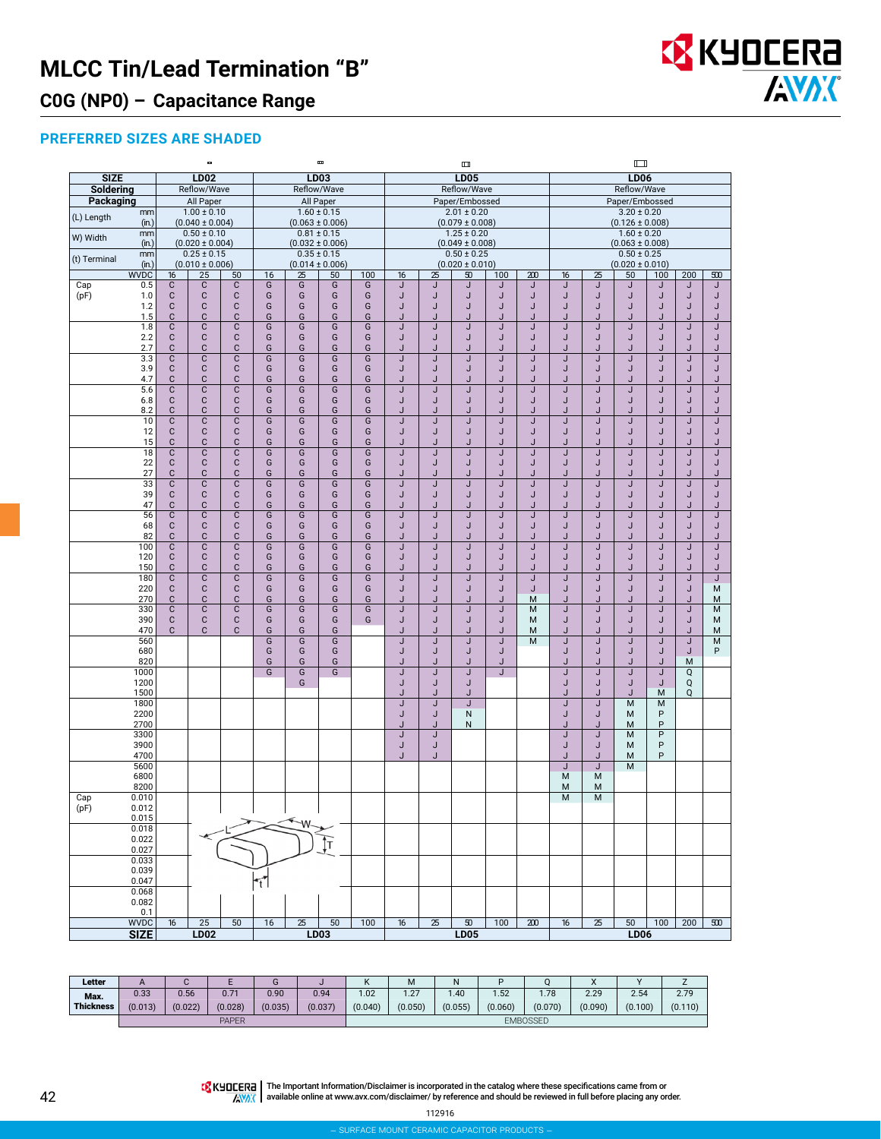# **MLCC Tin/Lead Termination "B"**



### **C0G (NP0) – Capacitance Range**

### **PREFERRED SIZES ARE SHADED**

|              |                    |                            | $\qquad \qquad \blacksquare$           |                             |                |                      | ш                                      |                         |         |         | Ш                                      |          |                       | $\Box$                                 |                 |                     |                |                     |          |
|--------------|--------------------|----------------------------|----------------------------------------|-----------------------------|----------------|----------------------|----------------------------------------|-------------------------|---------|---------|----------------------------------------|----------|-----------------------|----------------------------------------|-----------------|---------------------|----------------|---------------------|----------|
| <b>SIZE</b>  |                    |                            | <b>LD02</b>                            |                             |                |                      | LD03                                   |                         |         |         | <b>LD05</b>                            |          |                       |                                        | <b>LD06</b>     |                     |                |                     |          |
| Soldering    |                    |                            | Reflow/Wave                            |                             |                |                      | Reflow/Wave                            |                         |         |         | Reflow/Wave                            |          |                       |                                        | Reflow/Wave     |                     |                |                     |          |
| Packaging    |                    |                            | All Paper                              |                             |                |                      | All Paper                              |                         |         |         | Paper/Embossed                         |          |                       | Paper/Embossed<br>$3.20 \pm 0.20$      |                 |                     |                |                     |          |
| (L) Length   | mm<br>(in.)        |                            | $1.00 \pm 0.10$<br>$(0.040 \pm 0.004)$ |                             |                |                      | $1.60 \pm 0.15$<br>$(0.063 \pm 0.006)$ |                         |         |         | $2.01 \pm 0.20$<br>$(0.079 \pm 0.008)$ |          |                       |                                        |                 | $(0.126 \pm 0.008)$ |                |                     |          |
|              | mm                 |                            | $0.50 \pm 0.10$                        |                             |                |                      | $0.81 \pm 0.15$                        |                         |         |         | $1.25 \pm 0.20$                        |          |                       | $1.60 \pm 0.20$                        |                 |                     |                |                     |          |
| W) Width     | (in.)              |                            | $(0.020 \pm 0.004)$                    |                             |                |                      | $(0.032 \pm 0.006)$                    |                         |         |         | $(0.049 \pm 0.008)$                    |          |                       | $(0.063 \pm 0.008)$                    |                 |                     |                |                     |          |
| (t) Terminal | mm                 |                            | $0.25 \pm 0.15$                        |                             |                |                      | $0.35 \pm 0.15$                        |                         |         |         | $0.50 \pm 0.25$                        |          |                       | $0.50 \pm 0.25$<br>$(0.020 \pm 0.010)$ |                 |                     |                |                     |          |
|              | (in.)              |                            | $(0.010 \pm 0.006)$                    |                             |                |                      | $(0.014 \pm 0.006)$                    |                         |         |         | $(0.020 \pm 0.010)$                    |          |                       |                                        |                 |                     |                |                     |          |
| Cap          | <b>WVDC</b><br>0.5 | 16<br>$\mathbf C$          | 25<br>$\overline{c}$                   | 50<br>$\mathsf{C}$          | 16<br>G        | 25<br>$\overline{G}$ | 50<br>G                                | 100<br>G                | 16<br>J | 25<br>J | 50<br>J                                | 100<br>J | $\overline{200}$<br>J | $\overline{16}$<br>J                   | 25<br>J         | 50<br>J             | 100<br>J       | 200<br>J            | 500<br>J |
| (pF)         | 1.0                | $\mathsf{C}$               | $\mathsf{C}$                           | $\mathsf{C}$                | G              | G                    | G                                      | G                       | J       | J       | J                                      | J        | J                     | J                                      | J               | J                   | J              | J                   | J        |
|              | 1.2                | $\mathsf{C}$               | $\mathsf{C}$                           | $\mathbf C$                 | G              | G                    | G                                      | G                       | J       | J       | J                                      | J        | J                     | J                                      | J               | J                   | J              | J                   | J        |
|              | 1.5                | C                          | $\mathbf C$                            | $\mathbf{C}$                | G              | G                    | G                                      | G                       | J       | J       | J                                      | J.       | J                     | J                                      | J               | J                   | J              | J.                  | J        |
|              | 1.8                | $\overline{\mathsf{c}}$    | $\overline{C}$                         | $\overline{c}$              | $\overline{G}$ | $\overline{G}$       | $\overline{G}$                         | $\overline{G}$          | J       | J       | J                                      | J        | J                     | J                                      | J               | J                   | J              | J                   | J        |
|              | 2.2<br>2.7         | C<br>C                     | $\mathbf C$<br>$\mathbb C$             | $\mathbf C$<br>$\mathbf{C}$ | G<br>G         | G<br>G               | G<br>G                                 | G<br>G                  | J<br>J  | J<br>J  | J<br>J                                 | J<br>J   | J<br>J                | J<br>J                                 | J<br>J          | J<br>J              | J<br>J         | J<br>J              | J<br>J   |
|              | 3.3                | $\overline{\mathsf{c}}$    | $\overline{c}$                         | $\overline{c}$              | $\overline{G}$ | $\overline{G}$       | $\overline{G}$                         | $\overline{\mathsf{G}}$ | J       | J       | J                                      | J        | J                     | J                                      | J               | J                   | J              | J                   | J        |
|              | 3.9                | $\mathbf C$                | $\mathbf C$                            | $\mathbf C$                 | G              | G                    | G                                      | G                       | J       | J       | J                                      | J        | J                     | J                                      | J               | J                   | J              | J                   | J        |
|              | 4.7                | C                          | C                                      | $\mathbf{C}$                | G              | G                    | G                                      | G                       | J       | J.      | J                                      | J.       | J                     | J                                      | J               | J.                  | J              | J.                  | J        |
|              | 5.6                | $\overline{\text{C}}$      | $\overline{C}$                         | $\mathbf C$                 | G              | G                    | G                                      | $\overline{\mathsf{G}}$ | J       | J       | J                                      | J        | J                     | J                                      | J               | J                   | J              | J                   | J        |
|              | 6.8<br>8.2         | C<br>С                     | $\mathbf C$<br>C                       | $\mathbf C$<br>$\mathbf{C}$ | G<br>G         | G<br>G               | G<br>G                                 | G<br>G                  | J<br>J  | J<br>J  | J<br>J                                 | J<br>J.  | J<br>J                | J<br>J                                 | J<br>J          | J<br>J              | J<br>J         | J<br>J.             | J<br>J   |
|              | 10                 | C                          | $\mathbf C$                            | $\mathbf{C}$                | G              | G                    | G                                      | G                       | J       | J       | J                                      | J        | J                     | J                                      | J               | J                   | J              | J                   | J        |
|              | 12                 | $\mathbf C$                | $\mathbf C$                            | $\mathbf C$                 | G              | G                    | G                                      | G                       | J       | J       | J                                      | J        | J                     | J                                      | J               | J                   | J              | J                   | J        |
|              | 15                 | $\mathbf C$                | $\mathbf C$                            | $\mathbf C$                 | G              | G                    | G                                      | G                       | J       | J       | J                                      | J        | J                     | J                                      | J               | J                   | J              | J                   | J        |
|              | 18                 | $\overline{C}$             | $\overline{C}$                         | $\mathbf C$                 | G              | G                    | G                                      | G                       | J       | J       | J                                      | J        | J                     | J                                      | $\overline{J}$  | J                   | J              | J                   | J        |
|              | 22<br>27           | $\mathbb C$<br>$\mathbf C$ | $\mathbf C$<br>$\mathbf C$             | $\mathbf C$<br>$\mathbf{C}$ | G<br>G         | G<br>G               | G<br>G                                 | G<br>G                  | J<br>J  | J<br>J. | J<br>J                                 | J<br>. I | J<br>J                | J<br>J                                 | J<br>J          | J<br>J.             | J<br>J         | J<br>$\overline{1}$ | J<br>J.  |
|              | 33                 | $\overline{\text{C}}$      | $\mathbb C$                            | $\mathbf C$                 | G              | G                    | G                                      | G                       | J       | J       | J                                      | J        | J                     | J                                      | J               | J                   | J              | J                   | J        |
|              | 39                 | C                          | $\mathbf C$                            | $\mathbf{C}$                | G              | G                    | G                                      | G                       | J       | J       | J                                      | J        | J                     | J                                      | J               | J                   | J              | J                   | J        |
|              | 47                 | C                          | $\mathbf C$                            | $\mathbf{C}$                | G              | G                    | G                                      | G                       | J       | J       | J                                      | J        | J                     | J                                      | J               | J                   | J              | J.                  | J        |
|              | 56                 | $\overline{\text{C}}$      | $\overline{c}$                         | $\mathbf C$                 | G              | $\overline{G}$       | $\overline{G}$                         | $\overline{G}$          | J       | J       | J                                      | J        | J                     | J                                      | J               | J                   | J              | J                   | J        |
|              | 68<br>82           | C<br>C                     | $\mathbf C$<br>C                       | $\mathbf C$<br>$\mathbf C$  | G<br>G         | G<br>G               | G<br>G                                 | G<br>G                  | J<br>J  | J<br>J  | J<br>J                                 | J<br>J   | J<br>J                | J<br>J                                 | J<br>J          | J<br>J              | J<br>J         | J<br>J              | J<br>J   |
|              | 100                | C                          | C                                      | $\mathbf C$                 | G              | G                    | G                                      | G                       | J       | J       | J                                      | J        | J                     | J                                      | J               | J                   | J              | J                   | J        |
|              | 120                | C                          | $\mathbf C$                            | $\mathbf C$                 | G              | G                    | G                                      | G                       | J       | J       | J                                      | J        | J                     | J                                      | J               | J                   | J              | J                   | J        |
|              | 150                | $\mathbf C$                | $\mathsf c$                            | $\mathbf C$                 | G              | G                    | G                                      | G                       | J       | J       | J                                      | J        | J                     | J                                      | J               | J                   | J              | J                   | J        |
|              | 180                | $\overline{C}$             | $\overline{C}$<br>$\mathbf C$          | $\mathbf C$                 | G              | G                    | G                                      | G                       | J       | J       | J                                      | J        | J                     | J                                      | $\mathsf{J}$    | J                   | J              | J                   | J        |
|              | 220<br>270         | C<br>C                     | C                                      | $\mathbf C$<br>$\mathbf C$  | G<br>G         | G<br>G               | G<br>G                                 | G<br>G                  | J<br>J  | J<br>J  | J<br>J                                 | J<br>J   | J<br>M                | J<br>J                                 | J<br>J          | J<br>J              | J<br>J         | J<br>J              | M<br>M   |
|              | 330                | $\mathbb C$                | $\mathbf C$                            | $\overline{C}$              | G              | G                    | G                                      | G                       | J       | J       | J                                      | J        | M                     | J                                      | J               | J                   | J              | J                   | M        |
|              | 390                | C                          | $\mathbf C$                            | $\mathbf C$                 | G              | G                    | G                                      | G                       | J       | J       | J                                      | J        | M                     | J                                      | J               | J                   | J              | J                   | M        |
|              | 470                | C                          | C                                      | $\mathbf{C}$                | G              | G                    | G                                      |                         | J       | J       | J                                      | J        | M                     | J                                      | J               |                     | J              | J                   | М        |
|              | 560<br>680         |                            |                                        |                             | G<br>G         | $\overline{G}$<br>G  | $\overline{G}$<br>G                    |                         | J       | J       | J                                      | J        | M                     | J                                      | J               | J                   | J              | $\sf J$<br>J        | M<br>P   |
|              | 820                |                            |                                        |                             | G              | G                    | G                                      |                         | J<br>J  | J<br>J. | J<br>J                                 | J<br>J   |                       | J<br>J                                 | J<br>J          | J<br>J              | J<br>J         | M                   |          |
|              | 1000               |                            |                                        |                             | $\overline{G}$ | G                    | $\overline{G}$                         |                         | J       | J       | J                                      | J        |                       | J                                      | J               | J                   | J              | Q                   |          |
|              | 1200               |                            |                                        |                             |                | G                    |                                        |                         | J       | J       | J                                      |          |                       | J                                      | J               | J                   | J              | Q                   |          |
|              | 1500               |                            |                                        |                             |                |                      |                                        |                         | J       | J       | J                                      |          |                       | J                                      | J               | J                   | M              | Q                   |          |
|              | 1800<br>2200       |                            |                                        |                             |                |                      |                                        |                         | J<br>J  | J<br>J  | J<br>${\sf N}$                         |          |                       | J<br>J                                 | J<br>J          | M<br>M              | M<br>P         |                     |          |
|              | 2700               |                            |                                        |                             |                |                      |                                        |                         | J       | J.      | N                                      |          |                       | J                                      | J               | М                   | P              |                     |          |
|              | 3300               |                            |                                        |                             |                |                      |                                        |                         | J       | J       |                                        |          |                       | J                                      | J               | M                   | $\overline{P}$ |                     |          |
|              | 3900               |                            |                                        |                             |                |                      |                                        |                         | J       | J       |                                        |          |                       | J                                      | J               | M                   | P              |                     |          |
|              | 4700               |                            |                                        |                             |                |                      |                                        |                         | J       | J       |                                        |          |                       | J<br>J                                 | J<br>J          | М<br>M              | P              |                     |          |
|              | 5600<br>6800       |                            |                                        |                             |                |                      |                                        |                         |         |         |                                        |          |                       | M                                      | M               |                     |                |                     |          |
|              | 8200               |                            |                                        |                             |                |                      |                                        |                         |         |         |                                        |          |                       | M                                      | M               |                     |                |                     |          |
| Cap          | 0.010              |                            |                                        |                             |                |                      |                                        |                         |         |         |                                        |          |                       | M                                      | M               |                     |                |                     |          |
| (pF)         | 0.012              |                            |                                        |                             |                |                      |                                        |                         |         |         |                                        |          |                       |                                        |                 |                     |                |                     |          |
|              | 0.015<br>0.018     |                            |                                        |                             |                | ۰W                   |                                        |                         |         |         |                                        |          |                       |                                        |                 |                     |                |                     |          |
|              | 0.022              |                            |                                        |                             |                |                      |                                        |                         |         |         |                                        |          |                       |                                        |                 |                     |                |                     |          |
|              | 0.027              |                            |                                        |                             |                |                      | ſт                                     |                         |         |         |                                        |          |                       |                                        |                 |                     |                |                     |          |
|              | 0.033              |                            |                                        |                             |                |                      |                                        |                         |         |         |                                        |          |                       |                                        |                 |                     |                |                     |          |
|              | 0.039              |                            |                                        |                             |                |                      |                                        |                         |         |         |                                        |          |                       |                                        |                 |                     |                |                     |          |
|              | 0.047<br>0.068     |                            |                                        |                             | T              |                      |                                        |                         |         |         |                                        |          |                       |                                        |                 |                     |                |                     |          |
|              | 0.082              |                            |                                        |                             |                |                      |                                        |                         |         |         |                                        |          |                       |                                        |                 |                     |                |                     |          |
|              | 0.1                |                            |                                        |                             |                |                      |                                        |                         |         |         |                                        |          |                       |                                        |                 |                     |                |                     |          |
|              | <b>WVDC</b>        | 16                         | 25                                     | $\overline{50}$             | 16             | $\overline{25}$      | 50                                     | 100                     | 16      | 25      | 50                                     | 100      | $\overline{200}$      | 16                                     | $\overline{25}$ | 50                  | 100            | 200                 | 500      |
|              | <b>SIZE</b>        |                            | <b>LD02</b>                            |                             |                |                      | LD03                                   |                         |         |         | <b>LD05</b>                            |          |                       |                                        |                 |                     | <b>LD06</b>    |                     |          |

| Letter           | $\mathbf{\mathsf{m}}$ |         |         |         |         | N       | IVI             | N       |         |         | $\lambda$ |         |         |  |  |
|------------------|-----------------------|---------|---------|---------|---------|---------|-----------------|---------|---------|---------|-----------|---------|---------|--|--|
| Max.             | 0.33                  | 0.56    | 0.71    | 0.90    | 0.94    | 1.02    | 1.27            | .40     | .52     | .78     | 2.29      | 2.54    | 2.79    |  |  |
| <b>Thickness</b> | (0.013)               | (0.022) | (0.028) | (0.035) | (0.037) | (0.040) | (0.050)         | (0.055) | (0.060) | (0.070) | (0.090)   | (0.100) | (0.110) |  |  |
|                  | <b>PAPER</b>          |         |         |         |         |         | <b>EMBOSSED</b> |         |         |         |           |         |         |  |  |

The Important Information/Disclaimer is incorporated in the catalog where these specifications came from or available online at [www.avx.com/disclaimer/](http://www.avx.com/disclaimer/) by reference and should be reviewed in full before placing any order.